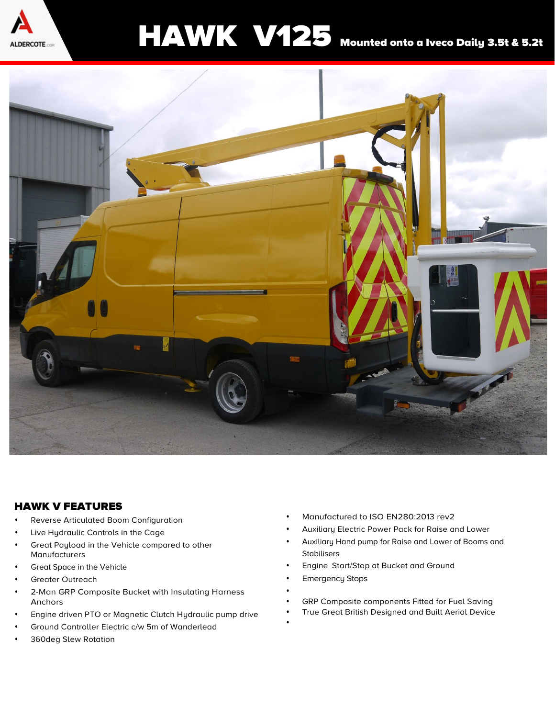

## HAWK V125 Mounted onto a Iveco Daily 3.5t & 5.2t



## HAWK V FEATURES

- **•** Reverse Articulated Boom Configuration
- **•** Live Hydraulic Controls in the Cage
- **•** Great Payload in the Vehicle compared to other Manufacturers
- **•** Great Space in the Vehicle
- **•** Greater Outreach
- **•** 2-Man GRP Composite Bucket with Insulating Harness Anchors
- **•** Engine driven PTO or Magnetic Clutch Hydraulic pump drive
- **•** Ground Controller Electric c/w 5m of Wanderlead
- **•** 360deg Slew Rotation
- **•** Manufactured to ISO EN280:2013 rev2
- **•** Auxiliary Electric Power Pack for Raise and Lower
- **•** Auxiliary Hand pump for Raise and Lower of Booms and Stabilisers
- **•** Engine Start/Stop at Bucket and Ground
- **•** Emergency Stops
- **• •** GRP Composite components Fitted for Fuel Saving
- **•** True Great British Designed and Built Aerial Device
- **•**